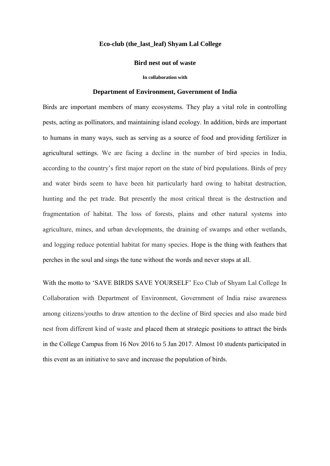## **Eco-club (the\_last\_leaf) Shyam Lal College**

## **Bird nest out of waste**

**In collaboration with** 

## **Department of Environment, Government of India**

Birds are important members of many ecosystems. They play a vital role in controlling pests, acting as pollinators, and maintaining island ecology. In addition, birds are important to humans in many ways, such as serving as a source of food and providing fertilizer in agricultural settings. We are facing a decline in the number of bird species in India, according to the country's first major report on the state of bird populations. Birds of prey and water birds seem to have been hit particularly hard owing to habitat destruction, hunting and the pet trade. But presently the most critical threat is the destruction and fragmentation of habitat. The loss of forests, plains and other natural systems into agriculture, mines, and urban developments, the draining of swamps and other wetlands, and logging reduce potential habitat for many species. Hope is the thing with feathers that perches in the soul and sings the tune without the words and never stops at all.

With the motto to 'SAVE BIRDS SAVE YOURSELF' Eco Club of Shyam Lal College In Collaboration with Department of Environment, Government of India raise awareness among citizens/youths to draw attention to the decline of Bird species and also made bird nest from different kind of waste and placed them at strategic positions to attract the birds in the College Campus from 16 Nov 2016 to 5 Jan 2017. Almost 10 students participated in this event as an initiative to save and increase the population of birds.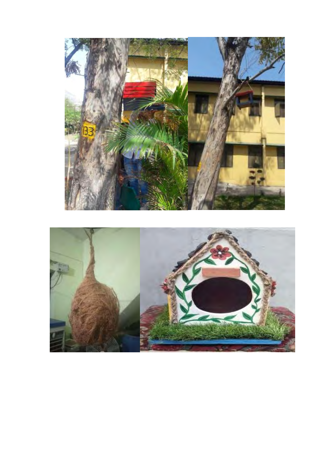